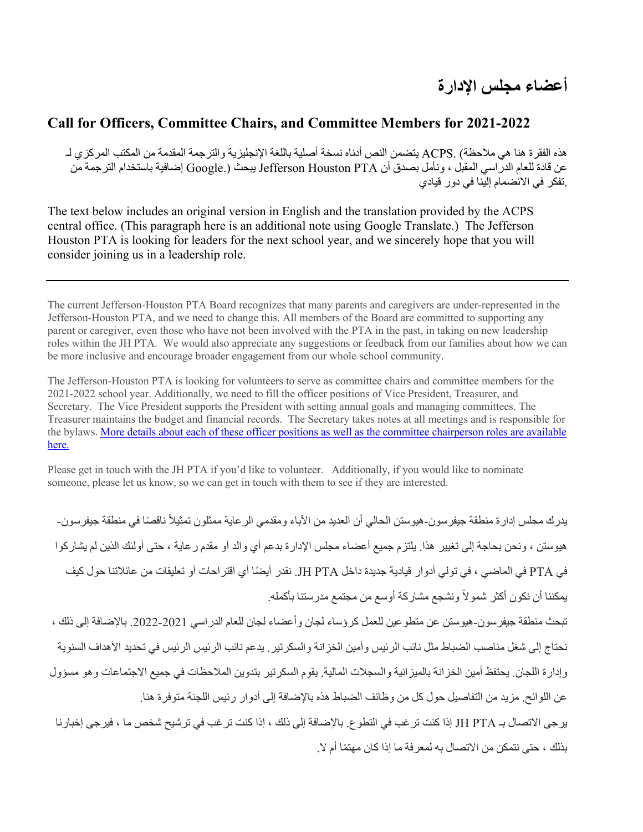## **Call for Officers, Committee Chairs, and Committee Members for 2021-2022**

هذه الفقرة هنا هي ملاحظة) .ACPS يتضمن النص أدناه نسخة أصلية باللغة الإنجليزية والترجمة المقدمة من المكتب المركزي لـ عن قادة للعام الدراسي المقبل ، ونأمل بصدق أن Jefferson Houston PTA يبحث (.Google وضافية باستخدام الترجمة من .تفكر في الانضمام الينا في دور قيادي

The text below includes an original version in English and the translation provided by the ACPS central office. (This paragraph here is an additional note using Google Translate.) The Jefferson Houston PTA is looking for leaders for the next school year, and we sincerely hope that you will consider joining us in a leadership role.

The current Jefferson-Houston PTA Board recognizes that many parents and caregivers are under-represented in the Jefferson-Houston PTA, and we need to change this. All members of the Board are committed to supporting any parent or caregiver, even those who have not been involved with the PTA in the past, in taking on new leadership roles within the JH PTA. We would also appreciate any suggestions or feedback from our families about how we can be more inclusive and encourage broader engagement from our whole school community.

The Jefferson-Houston PTA is looking for volunteers to serve as committee chairs and committee members for the 2021-2022 school year. Additionally, we need to fill the officer positions of Vice President, Treasurer, and Secretary. The Vice President supports the President with setting annual goals and managing committees. The Treasurer maintains the budget and financial records. The Secretary takes notes at all meetings and is responsible for the bylaws. More details about each of these officer positions as well as the committee chairperson roles are available here.

Please get in touch with the JH PTA if you'd like to volunteer. Additionally, if you would like to nominate someone, please let us know, so we can get in touch with them to see if they are interested.

يدرك مجلس إدارة منطقة جيفرسون-هيوستن الحالي أن العديد من الآباء ومقدمي الر عاية ممثلون تمثيلاً ناقصـًا في منطقة جيفرسون-هيوستن ، و نحن بحاجة إلى تغيير هذا يلتز م جميع أعضاء مجلس الإدار ة بدعم أي و الد أو مقدم ر عاية ، حتى أو لئك الذين لم يشار كو ا في PTA في الماضي ، في تولّي أدوار قيادية جديدة داخل JH PTA. نقدر أيضًا أي اقتراحات أو تعليقات من عائلاتنا حول كيف يمكننا أن نكون أكثر شمو لاً و نشجع مشار كة أو سع من مجتمع مدر ستنا بأكمله.

تبحث منطقة جيفرسون-هيوستن عن متطوعين للعمل كرؤساء لجان وأعضاء لجان للعام الدراسي 2021-2022. بالإضافة إلى ذلك ، نحتاج إلى شغل مناصب الضباط مثل نائب الرئيس وأمين الخز انة والسكرتير . يدعم نائب الرئيس الرئيس في تحديد الأهداف السنوية وإدارة اللجان. يحتفظ أمين الخز انة بالميز انية و السجلات المالية. يقوم السكرتير بتدوين الملاحظات في جميع الاجتماعات و هو مسؤول عن اللوائح. مزيد من التفاصيل حول كل من وظائف الضباط هذه بالإضافة إلى أدوار رئيس اللجنة متوفرة هنا.

برجي الاتصال بـ JH PTA إذا كنت تر غب في التطو ع. بالإضافة إلى ذلك ، إذا كنت تر غب في ترشيح شخص ما ، فيرجى إخبار نا بذلك ، حتى نتمكن من الاتصال به لمعر فة ما إذا كان مهتمًا أم لا.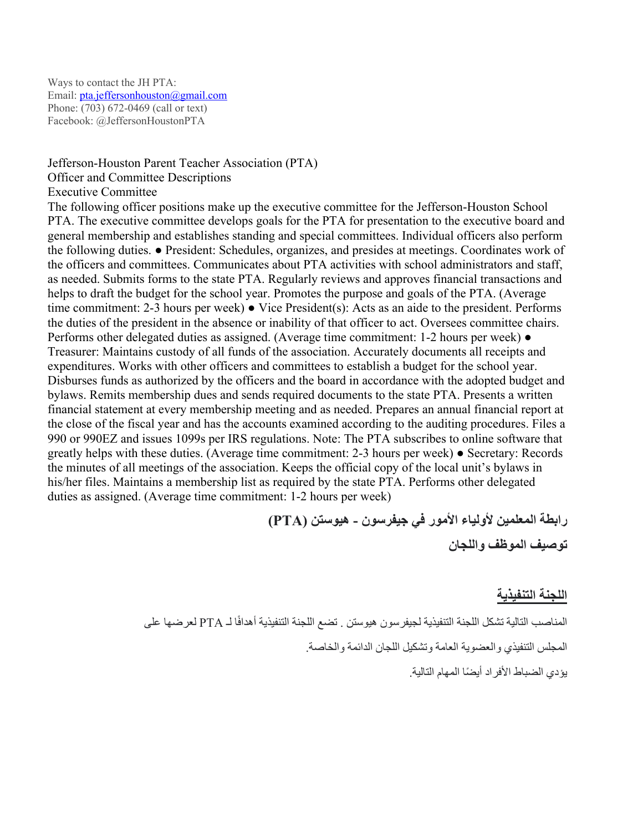Ways to contact the JH PTA: Email: pta.jeffersonhouston@gmail.com Phone: (703) 672-0469 (call or text) Facebook: @JeffersonHoustonPTA

Jefferson-Houston Parent Teacher Association (PTA)

Officer and Committee Descriptions Executive Committee The following officer positions make up the executive committee for the Jefferson-Houston School PTA. The executive committee develops goals for the PTA for presentation to the executive board and general membership and establishes standing and special committees. Individual officers also perform the following duties. ● President: Schedules, organizes, and presides at meetings. Coordinates work of the officers and committees. Communicates about PTA activities with school administrators and staff, as needed. Submits forms to the state PTA. Regularly reviews and approves financial transactions and helps to draft the budget for the school year. Promotes the purpose and goals of the PTA. (Average time commitment: 2-3 hours per week) ● Vice President(s): Acts as an aide to the president. Performs the duties of the president in the absence or inability of that officer to act. Oversees committee chairs. Performs other delegated duties as assigned. (Average time commitment: 1-2 hours per week) ● Treasurer: Maintains custody of all funds of the association. Accurately documents all receipts and expenditures. Works with other officers and committees to establish a budget for the school year. Disburses funds as authorized by the officers and the board in accordance with the adopted budget and bylaws. Remits membership dues and sends required documents to the state PTA. Presents a written financial statement at every membership meeting and as needed. Prepares an annual financial report at the close of the fiscal year and has the accounts examined according to the auditing procedures. Files a 990 or 990EZ and issues 1099s per IRS regulations. Note: The PTA subscribes to online software that greatly helps with these duties. (Average time commitment: 2-3 hours per week) ● Secretary: Records the minutes of all meetings of the association. Keeps the official copy of the local unit's bylaws in his/her files. Maintains a membership list as required by the state PTA. Performs other delegated duties as assigned. (Average time commitment: 1-2 hours per week)

> **نوسرفیج يف روملأا ءایلولأ نیملعملا ةطبار - ( نتسویھ PTA( ناجللاو فظوملا فیصوت**

#### اللجنة التنفيذية

المناصب التالية تشكل اللجنة التنفيذية لجيفرسون هيوستن . تضع اللجنة التنفيذية أهدافًا لـ PTA لعرضها على المجلس التنفيذي و العضوية العامة وتشكيل اللجان الدائمة و الخاصة.

یؤدي الضباط الأفراد أی ًضا المھام التالیة.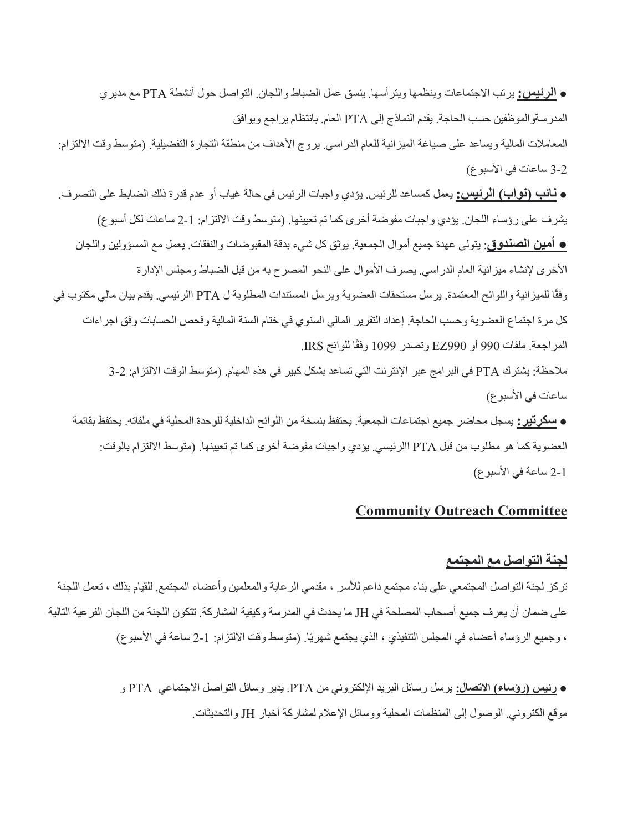**0 الرئيس:** يرتب الاجتماعات وينظمها ويتر أسها. ينسق عمل الضباط واللجان. التواصل حول أنشطة PTA مع مديري المدرسةوالموظفين حسب الحاجة. يقدم النماذج إلى PTA العام. بانتظام يراجع ويوافق المعاملات المالية ويساعد على صياغة الميزانية للعام الدراسي. يروج الأهداف من منطقة التجارة التفضيلية. (متوسط وقت الالتزام: 2-3 ساعات في الأسبوع)

**ه نـائب (نواب) الرئيس:** يعمل كمساعد للرئيس<sub>.</sub> يؤدي واجبات الرئيس في حالة غياب أو عدم قدرة ذلك الضابط على التصرف. يشرف على رؤساء اللجان. يؤدي واجبات مفوضة أخرى كما تم تعيينها. (متوسط وقت الالتزام: 1-2 ساعات لكل أسبو ع) **ه أمين الصندوق**: يتولّى عهدة جميع أموال الجمعية. يوثق كل شيء بدقة المقبوضات والنفقات. يعمل مع المسؤولين واللجان الأخرى لإنشاء ميزانية العام الدراسي يصرف الأموال على النحو المصرح به من قبل الضباط ومجلس الإدارة وفقًا للميزانية واللوائح المعتمدة. يرسل مستحقات العضوية ويرسل المستندات المطلوبة ل PTA االرئيسي. يقدم بيان مالي مكتوب في كل مرة اجتماع العضوية وحسب الحاجة. إعداد التقرير المالي السنوي في ختام السنة المالية وفحص الحسابات وفق اجراءات المراجعة. ملفات 990 أو EZ990 وتصدر 1099 وفقًا للوائح IRS. ملاحظة: يشترك PTA في البر امج عبر الإنترنت التي تساعد بشكل كبير في هذه المهام. (متوسط الوقت الالتزام: 2-3 ساعات في الأسبو ع)

● **سكرتير :** يسجل محاضر جميع اجتماعات الجمعية. يحتفظ بنسخة من اللوائح الداخلية للوحدة المحلية في ملفاته. يحتفظ بقائمة العضوية كما هو مطلوب من قبل PTA االرئيسي. يؤدي واجبات مفوضة أخرى كما تم تعيينها. (متوسط الالتزام بالوقت: 2-1 ساعة في الأسبوع)

### **Community Outreach Committee**

### لجنة التواصل مع المجت*مع*

تركز لجنة التواصل المجتمعي على بناء مجتمع داعم للأسر ، مقدمي الرعاية والمعلمين وأعضاء المجتمع للقيام بذلك ، تعمل اللجنة على ضمان أن يعرف جميع أصحاب المصلحة في JH ما يحدث في المدرسة وكيفية المشاركة. تتكون اللجنة من اللجان الفر عية التالية ، وجميع الرؤساء أعضاء في المجلس التنفيذي ، الذي يجتمع شهريًا. (متوسط وقت الالتزام: 1-2 ساعة في الأسبو ع)

> ● **سیئر :لاصتلاا )ءاسؤر(** نم ينورتكللإا دیربلا لئاسر لسری PTA يعامتجلاا لصاوتلا لئاسو ریدی . PTA و موقع الكتروني. الوصول إلى المنظمات المحلية ووسائل الإعلام لمشاركة أخبار JH والتحديثات.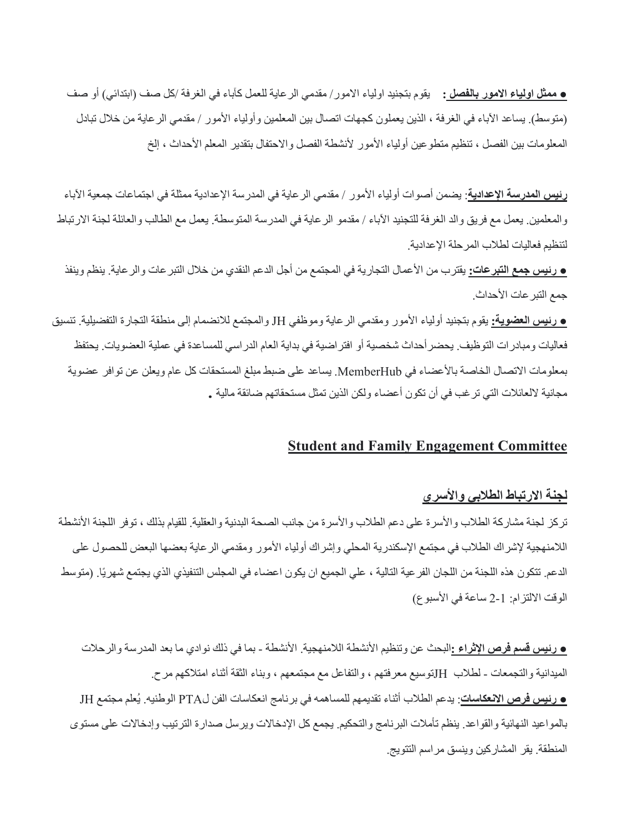<u>ه ممثل اولياء الامور بالفصل :</u> دیقوم بتجنيد اولياء الامور/ مقدمي الرعاية للعمل كآباء في الغرفة /كل صف (ابتدائي) أو صف (متوسط). يساعد الأباء في الغرفة ، الذين يعملون كجهات اتصال بين المعلمين وأولياء الأمور / مقدمي الرعاية من خلال تبادل المعلومات بين الفصل ، تنظيم منطوعين أولياء الأمور لأنشطة الفصل والاحتفال بنقدير المعلم الأحداث ، إلخ

**رئيس المدرسة الإعدادية**: يضمن أصوات أولياء الأمور / مقدمي الرعاية في المدرسة الإعدادية ممثلة في اجتماعات جمعية الأباء والمعلمين. يعمل مع فريق والد الغرفة للتجنيد الأباء / مقدمو الرعاية في المدرسة المتوسطة. يعمل مع الطالب والعائلة لجنة الارتباط لتنظيم فعاليات لطلاب المرحلة الإعدادية.

**. و نيس جمع التبر عات:** يقترب من الأعمال التجارية في المجتمع من أجل الدعم النقدي من خلال التبر عات والر عاية. ينظم وينفذ جمع التبر عات الأحداث.

<u>ه رئ**يس العضوية:** ي</u>قوم بتجنيد أولياء الأمور ومقدمي الرعاية وموظفي JH والمجتمع للانضمام إلى منطقة التجارة التفضيلية. تنسيق فعاليات و مبادر ات التوظيف . يحضر أحداث شخصية أو افتر اضية في بداية العام الدراسي للمساعدة في عملية العضويات. يحتفظ بمعلومات الاتصال الخاصة بالأعضاء في MemberHub. يساعد على ضبط مبلغ المستحقات كل عام ويعلن عن توافر عضوية مجانية لالعائلات التي تر غب في أن تكون أعضاء ولكن الذين تمثل مستحقاتهم ضائقة مالية .

## **Student and Family Engagement Committee**

## لجنة الارتباط الطلاب*ي* والأسرى

تركز لجنة مشاركة الطلاب والأسرة على دعم الطلاب والأسرة من جانب الصحة البدنية والعقلية. للقيام بذلك ، توفر اللجنة الأنشطة اللامنهجية لإشراك الطلاب في مجتمع الإسكندرية المحلي وإشراك أولياء الأمور ومقدمي الرعاية بعضها البعض للحصول على الدعم. تتكون هذه اللجنة من اللجان الفر عية التالية ، علي الجميع ان يكون اعضاء في المجلس التنفيذي الذي يجتمع شهريًا. (متوسط الوقت الالتزام: 1-2 ساعة في الأسبوع)

<mark>ه رئيس قسم فرص الإثراع :</mark>البحث عن وتنظيم الأنشطة اللامنهجية. الأنشطة - بما في ذلك نوادي ما بعد المدرسة والرحلات الميدانية والتجمعات - لطلاب Hتوسيع معرفتهم ، والتفاعل مع مجتمعهم ، وبناء الثقة أثناء امتلاكهم مر ح. **ـ و تيس فرص الانعكاسات**: يدعم الطلاب أثناء تقديمهم للمساهمه في بر نامج انعكاسات الفن لPTA الوطنيه. يُعلم مجتمع JH بالمواعيد النهائية والقواعد. ينظم تأملات البرنامج والتحكيم. يجمع كل الإدخالات ويرسل صدارة الترتيب وإدخالات على مستوى المنطقة. يقر المشاركين وينسق مراسم التتويج.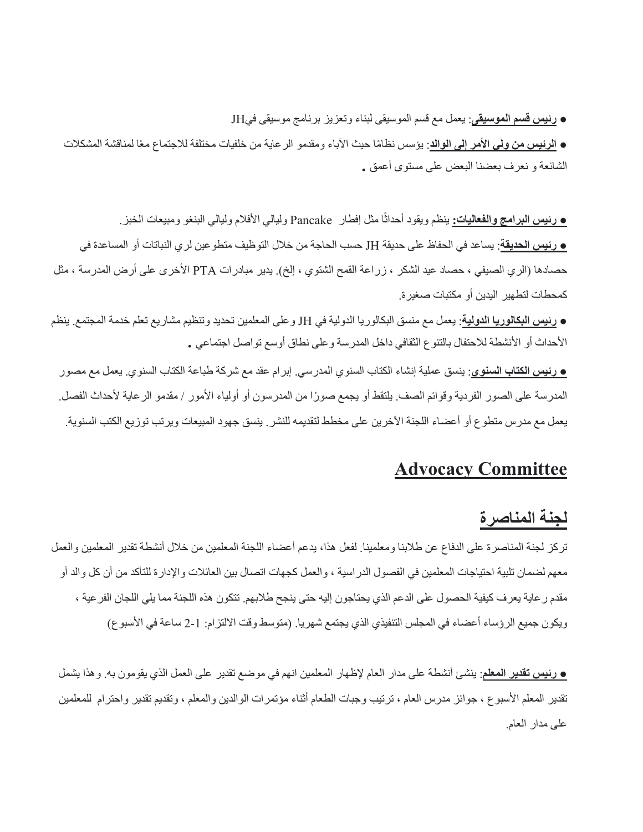#### **• رنيس قسم الموسيقي**: يعمل مع قسم الموسيقي لبناء وتعزيز برنامج موسيقي فيJH

**€ <u>الرئيس من ولي</u> الأمر إلى الواك**: يؤسس نظامًا حيث الآباء ومقدمو الرعاية من خلفيات مختلفة للاجتماع معًا لمناقشة المشكلات الشائعة و نعرف بعضنا البعض على مستوى أعمق .

ا مثل راطفإ Pancake يلایلو ملافلأا يلایلو .زبخلا تاعیبمو وغنبلا ً **:تایلاعفلاو جماربلا سیئر ●** ینظم ویقود أحداث **ه رئيس الحديقة**: يساعد في الحفاظ على حديقة JH حسب الحاجة من خلال التوظيف متطو عين لرى النباتات أو المساعدة في حصادها (الري الصيفي ، حصاد عيد الشكر ، زراعة القمح الشتوي ، إلخ). يدير مبادرات PTA الأخرى على أرض المدرسة ، مثل كمحطات لتطهير اليدين أو مكتبات صغير ة.

● **رئيس البكالوريا الدولية**: يعمل مع منسق البكالوريا الدولية في JH و على المعلمين تحديد وتنظيم مشاريع تعلم خدمة المجتمع. ينظم الأحداث أو الأنشطة للاحتفال بالتنوع الثقافي داخل المدرسة وعلى نطاق أوسع تواصل اجتماعي .

**ـ رنيس الكتاب السنوي**: ينسق عملية إنشاء الكتاب السنوي المدرسي<sub>.</sub> إبرام عقد مع شركة طباعة الكتاب السنوي<sub>.</sub> يعمل مع مصور المدرسة على الصور الفردية وقوائم الصف. يلتقط أو يجمع صورًا من المدرسون أو أولياء الأمور / مقدمو الرعاية لأحداث الفصل. يعمل مع مدرس منطوع أو أعضاء اللجنة الآخرين على مخطط لتقديمه للنشر . ينسق جهود المبيعات ويرتب توزيع الكتب السنوية .

# **Advocacy Committee**

# لجنة المناصرة

تركز لجنة المناصرة على الدفاع عن طلابنا ومعلمينا. لفعل هذا، يدعم أعضاء اللجنة المعلمين من خلال أنشطة تقدير المعلمين والعمل معهم لضمان تلبية احتياجات المعلمين في الفصول الدراسية ، والعمل كجهات اتصال بين العائلات والإدارة للتأكد من أن كل والد أو مقدم ر عاية يعرف كيفية الحصول على الدعم الذي يحتاجون إليه حتى ينجح طلابهم. تتكون هذه اللجنة مما يلي اللجان الفر عية ، ويكون جميع الرؤساء أعضاء في المجلس التنفيذي الذي يجتمع شهريا. (متوسط وقت الالتزام: 1-2 ساعة في الأسبو ع)

<u>ه رئ**يس تقدير المعل**م</u>: ينشئ أنشطة على مدار العام لإظهار المعلمين انهم في موضع تقدير على العمل الذي يقومون به. وهذا يشمل نقدير المعلم الأسبو ع ، جوائز مدرس العام ، ترتيب وجبات الطعام أثناء مؤتمرات الوالدين والمعلم ، وتقديم تقدير واحترام للمعلمين على مدار العام.